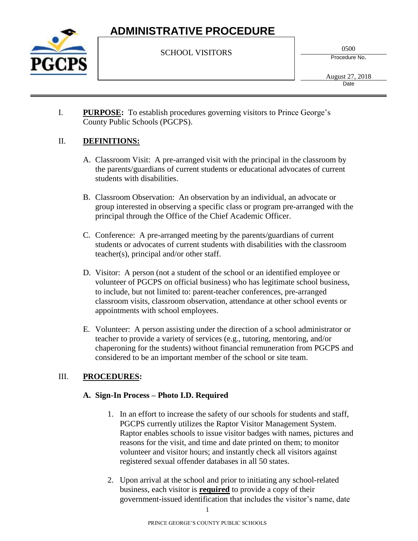

SCHOOL VISITORS

0500

Procedure No.

I. **PURPOSE:** To establish procedures governing visitors to Prince George's County Public Schools (PGCPS).

### II. **DEFINITIONS:**

- A. Classroom Visit: A pre-arranged visit with the principal in the classroom by the parents/guardians of current students or educational advocates of current students with disabilities.
- B. Classroom Observation: An observation by an individual, an advocate or group interested in observing a specific class or program pre-arranged with the principal through the Office of the Chief Academic Officer.
- C. Conference: A pre-arranged meeting by the parents/guardians of current students or advocates of current students with disabilities with the classroom teacher(s), principal and/or other staff.
- D. Visitor: A person (not a student of the school or an identified employee or volunteer of PGCPS on official business) who has legitimate school business, to include, but not limited to: parent-teacher conferences, pre-arranged classroom visits, classroom observation, attendance at other school events or appointments with school employees.
- E. Volunteer: A person assisting under the direction of a school administrator or teacher to provide a variety of services (e.g., tutoring, mentoring, and/or chaperoning for the students) without financial remuneration from PGCPS and considered to be an important member of the school or site team.

### III. **PROCEDURES:**

### **A. Sign-In Process – Photo I.D. Required**

- 1. In an effort to increase the safety of our schools for students and staff, PGCPS currently utilizes the Raptor Visitor Management System. Raptor enables schools to issue visitor badges with names, pictures and reasons for the visit, and time and date printed on them; to monitor volunteer and visitor hours; and instantly check all visitors against registered sexual offender databases in all 50 states.
- 2. Upon arrival at the school and prior to initiating any school-related business, each visitor is **required** to provide a copy of their government-issued identification that includes the visitor's name, date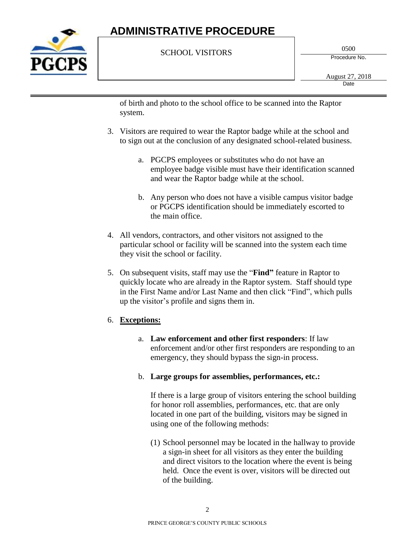

#### SCHOOL VISITORS

0500

Procedure No.

of birth and photo to the school office to be scanned into the Raptor system.

- 3. Visitors are required to wear the Raptor badge while at the school and to sign out at the conclusion of any designated school-related business.
	- a. PGCPS employees or substitutes who do not have an employee badge visible must have their identification scanned and wear the Raptor badge while at the school.
	- b. Any person who does not have a visible campus visitor badge or PGCPS identification should be immediately escorted to the main office.
- 4. All vendors, contractors, and other visitors not assigned to the particular school or facility will be scanned into the system each time they visit the school or facility.
- 5. On subsequent visits, staff may use the "**Find"** feature in Raptor to quickly locate who are already in the Raptor system. Staff should type in the First Name and/or Last Name and then click "Find", which pulls up the visitor's profile and signs them in.

### 6. **Exceptions:**

- a. **Law enforcement and other first responders**: If law enforcement and/or other first responders are responding to an emergency, they should bypass the sign-in process.
- b. **Large groups for assemblies, performances, etc.:**

If there is a large group of visitors entering the school building for honor roll assemblies, performances, etc. that are only located in one part of the building, visitors may be signed in using one of the following methods:

(1) School personnel may be located in the hallway to provide a sign-in sheet for all visitors as they enter the building and direct visitors to the location where the event is being held. Once the event is over, visitors will be directed out of the building.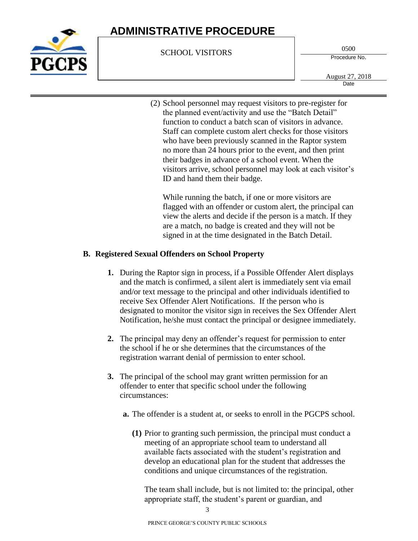

SCHOOL VISITORS

0500

Procedure No.

August 27, 2018 **Date** 

(2) School personnel may request visitors to pre-register for the planned event/activity and use the "Batch Detail" function to conduct a batch scan of visitors in advance. Staff can complete custom alert checks for those visitors who have been previously scanned in the Raptor system no more than 24 hours prior to the event, and then print their badges in advance of a school event. When the visitors arrive, school personnel may look at each visitor's ID and hand them their badge.

While running the batch, if one or more visitors are flagged with an offender or custom alert, the principal can view the alerts and decide if the person is a match. If they are a match, no badge is created and they will not be signed in at the time designated in the Batch Detail.

#### **B. Registered Sexual Offenders on School Property**

- **1.** During the Raptor sign in process, if a Possible Offender Alert displays and the match is confirmed, a silent alert is immediately sent via email and/or text message to the principal and other individuals identified to receive Sex Offender Alert Notifications. If the person who is designated to monitor the visitor sign in receives the Sex Offender Alert Notification, he/she must contact the principal or designee immediately.
- **2.** The principal may deny an offender's request for permission to enter the school if he or she determines that the circumstances of the registration warrant denial of permission to enter school.
- **3.** The principal of the school may grant written permission for an offender to enter that specific school under the following circumstances:
	- **a.** The offender is a student at, or seeks to enroll in the PGCPS school.
		- **(1)** Prior to granting such permission, the principal must conduct a meeting of an appropriate school team to understand all available facts associated with the student's registration and develop an educational plan for the student that addresses the conditions and unique circumstances of the registration.

The team shall include, but is not limited to: the principal, other appropriate staff, the student's parent or guardian, and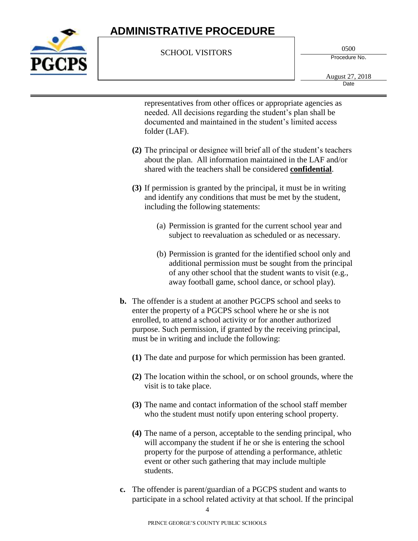

#### SCHOOL VISITORS

0500

Procedure No.

representatives from other offices or appropriate agencies as needed. All decisions regarding the student's plan shall be documented and maintained in the student's limited access folder (LAF).

- **(2)** The principal or designee will brief all of the student's teachers about the plan. All information maintained in the LAF and/or shared with the teachers shall be considered **confidential**.
- **(3)** If permission is granted by the principal, it must be in writing and identify any conditions that must be met by the student, including the following statements:
	- (a) Permission is granted for the current school year and subject to reevaluation as scheduled or as necessary.
	- (b) Permission is granted for the identified school only and additional permission must be sought from the principal of any other school that the student wants to visit (e.g., away football game, school dance, or school play).
- **b.** The offender is a student at another PGCPS school and seeks to enter the property of a PGCPS school where he or she is not enrolled, to attend a school activity or for another authorized purpose. Such permission, if granted by the receiving principal, must be in writing and include the following:
	- **(1)** The date and purpose for which permission has been granted.
	- **(2)** The location within the school, or on school grounds, where the visit is to take place.
	- **(3)** The name and contact information of the school staff member who the student must notify upon entering school property.
	- **(4)** The name of a person, acceptable to the sending principal, who will accompany the student if he or she is entering the school property for the purpose of attending a performance, athletic event or other such gathering that may include multiple students.
- **c.** The offender is parent/guardian of a PGCPS student and wants to participate in a school related activity at that school. If the principal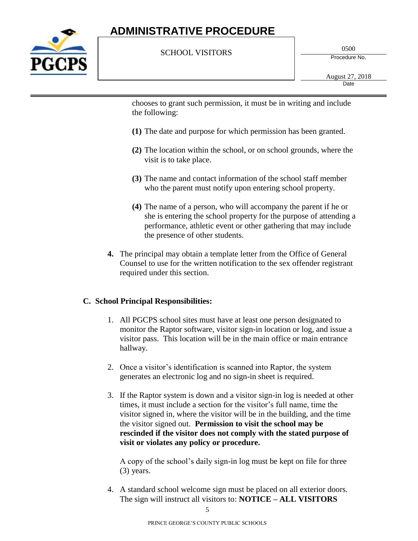

#### SCHOOL VISITORS

0500

Procedure No.

chooses to grant such permission, it must be in writing and include the following:

- **(1)** The date and purpose for which permission has been granted.
- **(2)** The location within the school, or on school grounds, where the visit is to take place.
- **(3)** The name and contact information of the school staff member who the parent must notify upon entering school property.
- **(4)** The name of a person, who will accompany the parent if he or she is entering the school property for the purpose of attending a performance, athletic event or other gathering that may include the presence of other students.
- **4.** The principal may obtain a template letter from the Office of General Counsel to use for the written notification to the sex offender registrant required under this section.

#### **C. School Principal Responsibilities:**

- 1. All PGCPS school sites must have at least one person designated to monitor the Raptor software, visitor sign-in location or log, and issue a visitor pass. This location will be in the main office or main entrance hallway.
- 2. Once a visitor's identification is scanned into Raptor, the system generates an electronic log and no sign-in sheet is required.
- 3. If the Raptor system is down and a visitor sign-in log is needed at other times, it must include a section for the visitor's full name, time the visitor signed in, where the visitor will be in the building, and the time the visitor signed out. **Permission to visit the school may be rescinded if the visitor does not comply with the stated purpose of visit or violates any policy or procedure.**

A copy of the school's daily sign-in log must be kept on file for three (3) years.

4. A standard school welcome sign must be placed on all exterior doors. The sign will instruct all visitors to: **NOTICE – ALL VISITORS**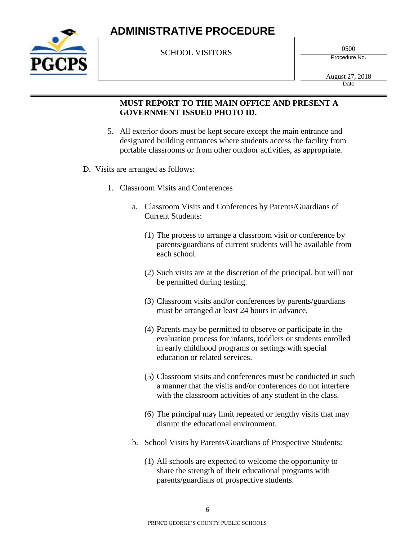

SCHOOL VISITORS

0500

Procedure No.

August 27, 2018 **Date** 

#### **MUST REPORT TO THE MAIN OFFICE AND PRESENT A GOVERNMENT ISSUED PHOTO ID.**

- 5. All exterior doors must be kept secure except the main entrance and designated building entrances where students access the facility from portable classrooms or from other outdoor activities, as appropriate.
- D. Visits are arranged as follows:
	- 1. Classroom Visits and Conferences
		- a. Classroom Visits and Conferences by Parents/Guardians of Current Students:
			- (1) The process to arrange a classroom visit or conference by parents/guardians of current students will be available from each school.
			- (2) Such visits are at the discretion of the principal, but will not be permitted during testing.
			- (3) Classroom visits and/or conferences by parents/guardians must be arranged at least 24 hours in advance.
			- (4) Parents may be permitted to observe or participate in the evaluation process for infants, toddlers or students enrolled in early childhood programs or settings with special education or related services.
			- (5) Classroom visits and conferences must be conducted in such a manner that the visits and/or conferences do not interfere with the classroom activities of any student in the class.
			- (6) The principal may limit repeated or lengthy visits that may disrupt the educational environment.
		- b. School Visits by Parents/Guardians of Prospective Students:
			- (1) All schools are expected to welcome the opportunity to share the strength of their educational programs with parents/guardians of prospective students.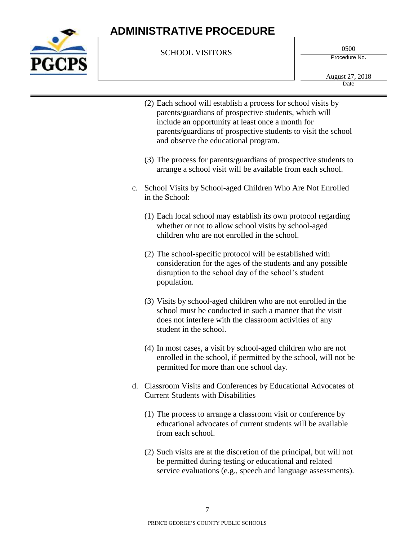

#### SCHOOL VISITORS

0500

Procedure No.

August 27, 2018 **Date** 

- (2) Each school will establish a process for school visits by parents/guardians of prospective students, which will include an opportunity at least once a month for parents/guardians of prospective students to visit the school and observe the educational program.
- (3) The process for parents/guardians of prospective students to arrange a school visit will be available from each school.
- c. School Visits by School-aged Children Who Are Not Enrolled in the School:
	- (1) Each local school may establish its own protocol regarding whether or not to allow school visits by school-aged children who are not enrolled in the school.
	- (2) The school-specific protocol will be established with consideration for the ages of the students and any possible disruption to the school day of the school's student population.
	- (3) Visits by school-aged children who are not enrolled in the school must be conducted in such a manner that the visit does not interfere with the classroom activities of any student in the school.
	- (4) In most cases, a visit by school-aged children who are not enrolled in the school, if permitted by the school, will not be permitted for more than one school day.
- d. Classroom Visits and Conferences by Educational Advocates of Current Students with Disabilities
	- (1) The process to arrange a classroom visit or conference by educational advocates of current students will be available from each school.
	- (2) Such visits are at the discretion of the principal, but will not be permitted during testing or educational and related service evaluations (e.g., speech and language assessments).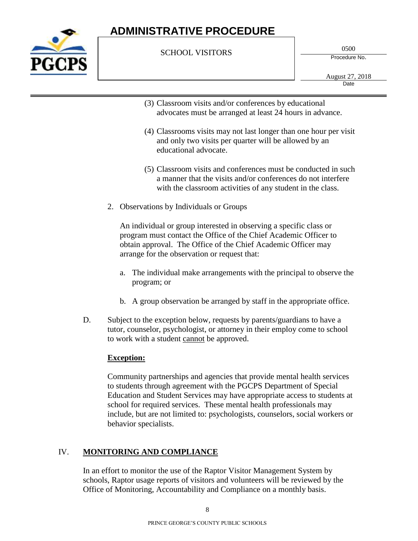

#### SCHOOL VISITORS

0500

Procedure No.

August 27, 2018 **Date** 

- (3) Classroom visits and/or conferences by educational advocates must be arranged at least 24 hours in advance.
- (4) Classrooms visits may not last longer than one hour per visit and only two visits per quarter will be allowed by an educational advocate.
- (5) Classroom visits and conferences must be conducted in such a manner that the visits and/or conferences do not interfere with the classroom activities of any student in the class.
- 2. Observations by Individuals or Groups

An individual or group interested in observing a specific class or program must contact the Office of the Chief Academic Officer to obtain approval. The Office of the Chief Academic Officer may arrange for the observation or request that:

- a. The individual make arrangements with the principal to observe the program; or
- b. A group observation be arranged by staff in the appropriate office.
- D. Subject to the exception below, requests by parents/guardians to have a tutor, counselor, psychologist, or attorney in their employ come to school to work with a student cannot be approved.

### **Exception:**

Community partnerships and agencies that provide mental health services to students through agreement with the PGCPS Department of Special Education and Student Services may have appropriate access to students at school for required services. These mental health professionals may include, but are not limited to: psychologists, counselors, social workers or behavior specialists.

### IV. **MONITORING AND COMPLIANCE**

In an effort to monitor the use of the Raptor Visitor Management System by schools, Raptor usage reports of visitors and volunteers will be reviewed by the Office of Monitoring, Accountability and Compliance on a monthly basis.